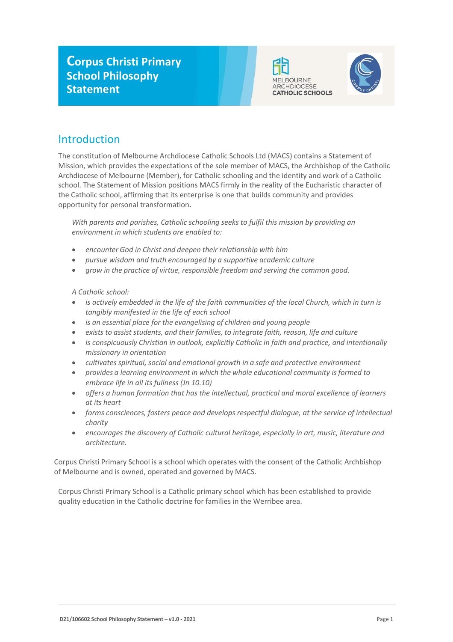



# Introduction

The constitution of Melbourne Archdiocese Catholic Schools Ltd (MACS) contains a Statement of Mission, which provides the expectations of the sole member of MACS, the Archbishop of the Catholic Archdiocese of Melbourne (Member), for Catholic schooling and the identity and work of a Catholic school. The Statement of Mission positions MACS firmly in the reality of the Eucharistic character of the Catholic school, affirming that its enterprise is one that builds community and provides opportunity for personal transformation.

*With parents and parishes, Catholic schooling seeks to fulfil this mission by providing an environment in which students are enabled to:*

- *encounter God in Christ and deepen their relationship with him*
- *pursue wisdom and truth encouraged by a supportive academic culture*
- *grow in the practice of virtue, responsible freedom and serving the common good.*

*A Catholic school:*

- *is actively embedded in the life of the faith communities of the local Church, which in turn is tangibly manifested in the life of each school*
- *is an essential place for the evangelising of children and young people*
- *exists to assist students, and their families, to integrate faith, reason, life and culture*
- *is conspicuously Christian in outlook, explicitly Catholic in faith and practice, and intentionally missionary in orientation*
- *cultivates spiritual, social and emotional growth in a safe and protective environment*
- *provides a learning environment in which the whole educational community isformed to embrace life in all its fullness (Jn 10.10)*
- *offers a human formation that has the intellectual, practical and moral excellence of learners at its heart*
- *forms consciences, fosters peace and develops respectful dialogue, at the service of intellectual charity*
- *encourages the discovery of Catholic cultural heritage, especially in art, music, literature and architecture.*

Corpus Christi Primary School is a school which operates with the consent of the Catholic Archbishop of Melbourne and is owned, operated and governed by MACS.

Corpus Christi Primary School is a Catholic primary school which has been established to provide quality education in the Catholic doctrine for families in the Werribee area.